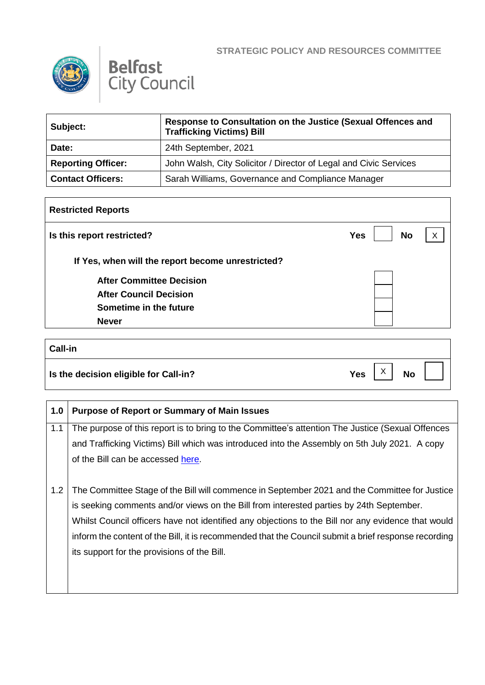



| Subject:                  | Response to Consultation on the Justice (Sexual Offences and<br><b>Trafficking Victims) Bill</b> |
|---------------------------|--------------------------------------------------------------------------------------------------|
| Date:                     | 24th September, 2021                                                                             |
| <b>Reporting Officer:</b> | John Walsh, City Solicitor / Director of Legal and Civic Services                                |
| <b>Contact Officers:</b>  | Sarah Williams, Governance and Compliance Manager                                                |

| <b>Restricted Reports</b>                         |                         |              |  |  |
|---------------------------------------------------|-------------------------|--------------|--|--|
| Is this report restricted?                        | <b>No</b><br><b>Yes</b> | $\checkmark$ |  |  |
| If Yes, when will the report become unrestricted? |                         |              |  |  |
| <b>After Committee Decision</b>                   |                         |              |  |  |
| <b>After Council Decision</b>                     |                         |              |  |  |
| Sometime in the future                            |                         |              |  |  |
| <b>Never</b>                                      |                         |              |  |  |

## **Call-in Is the decision eligible for Call-in?**  $Yes \begin{bmatrix} X \\ Y \end{bmatrix}$  No  $X$

| 1.0 | <b>Purpose of Report or Summary of Main Issues</b>                                                   |
|-----|------------------------------------------------------------------------------------------------------|
| 1.1 | The purpose of this report is to bring to the Committee's attention The Justice (Sexual Offences     |
|     | and Trafficking Victims) Bill which was introduced into the Assembly on 5th July 2021. A copy        |
|     | of the Bill can be accessed here.                                                                    |
|     |                                                                                                      |
| 1.2 | The Committee Stage of the Bill will commence in September 2021 and the Committee for Justice        |
|     | is seeking comments and/or views on the Bill from interested parties by 24th September.              |
|     | Whilst Council officers have not identified any objections to the Bill nor any evidence that would   |
|     | inform the content of the Bill, it is recommended that the Council submit a brief response recording |
|     | its support for the provisions of the Bill.                                                          |
|     |                                                                                                      |
|     |                                                                                                      |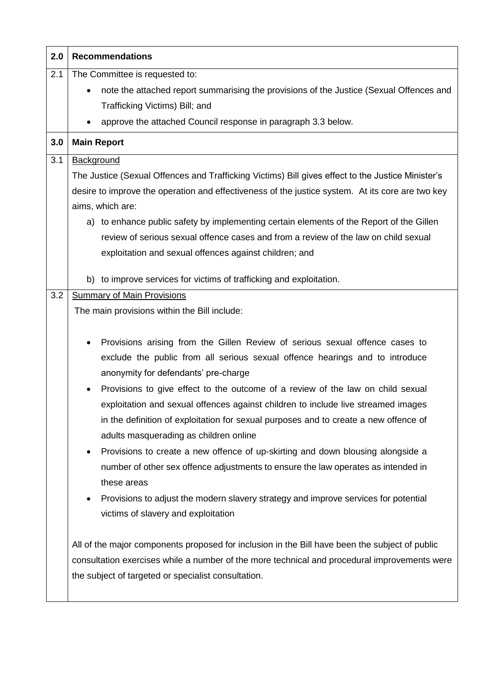| 2.0 | <b>Recommendations</b>                                                                                                                                                                                                                                                                                                                                                                                                                                                                                                                                                                                                                                                                                                                                                                                                                                                                                                                                                                                                                                                                                                 |  |
|-----|------------------------------------------------------------------------------------------------------------------------------------------------------------------------------------------------------------------------------------------------------------------------------------------------------------------------------------------------------------------------------------------------------------------------------------------------------------------------------------------------------------------------------------------------------------------------------------------------------------------------------------------------------------------------------------------------------------------------------------------------------------------------------------------------------------------------------------------------------------------------------------------------------------------------------------------------------------------------------------------------------------------------------------------------------------------------------------------------------------------------|--|
| 2.1 | The Committee is requested to:                                                                                                                                                                                                                                                                                                                                                                                                                                                                                                                                                                                                                                                                                                                                                                                                                                                                                                                                                                                                                                                                                         |  |
|     | note the attached report summarising the provisions of the Justice (Sexual Offences and                                                                                                                                                                                                                                                                                                                                                                                                                                                                                                                                                                                                                                                                                                                                                                                                                                                                                                                                                                                                                                |  |
|     | Trafficking Victims) Bill; and                                                                                                                                                                                                                                                                                                                                                                                                                                                                                                                                                                                                                                                                                                                                                                                                                                                                                                                                                                                                                                                                                         |  |
|     | approve the attached Council response in paragraph 3.3 below.                                                                                                                                                                                                                                                                                                                                                                                                                                                                                                                                                                                                                                                                                                                                                                                                                                                                                                                                                                                                                                                          |  |
| 3.0 | <b>Main Report</b>                                                                                                                                                                                                                                                                                                                                                                                                                                                                                                                                                                                                                                                                                                                                                                                                                                                                                                                                                                                                                                                                                                     |  |
| 3.1 | <b>Background</b>                                                                                                                                                                                                                                                                                                                                                                                                                                                                                                                                                                                                                                                                                                                                                                                                                                                                                                                                                                                                                                                                                                      |  |
|     | The Justice (Sexual Offences and Trafficking Victims) Bill gives effect to the Justice Minister's                                                                                                                                                                                                                                                                                                                                                                                                                                                                                                                                                                                                                                                                                                                                                                                                                                                                                                                                                                                                                      |  |
|     | desire to improve the operation and effectiveness of the justice system. At its core are two key                                                                                                                                                                                                                                                                                                                                                                                                                                                                                                                                                                                                                                                                                                                                                                                                                                                                                                                                                                                                                       |  |
|     | aims, which are:                                                                                                                                                                                                                                                                                                                                                                                                                                                                                                                                                                                                                                                                                                                                                                                                                                                                                                                                                                                                                                                                                                       |  |
|     | a) to enhance public safety by implementing certain elements of the Report of the Gillen                                                                                                                                                                                                                                                                                                                                                                                                                                                                                                                                                                                                                                                                                                                                                                                                                                                                                                                                                                                                                               |  |
|     | review of serious sexual offence cases and from a review of the law on child sexual                                                                                                                                                                                                                                                                                                                                                                                                                                                                                                                                                                                                                                                                                                                                                                                                                                                                                                                                                                                                                                    |  |
|     | exploitation and sexual offences against children; and                                                                                                                                                                                                                                                                                                                                                                                                                                                                                                                                                                                                                                                                                                                                                                                                                                                                                                                                                                                                                                                                 |  |
|     |                                                                                                                                                                                                                                                                                                                                                                                                                                                                                                                                                                                                                                                                                                                                                                                                                                                                                                                                                                                                                                                                                                                        |  |
|     | b) to improve services for victims of trafficking and exploitation.                                                                                                                                                                                                                                                                                                                                                                                                                                                                                                                                                                                                                                                                                                                                                                                                                                                                                                                                                                                                                                                    |  |
| 3.2 | <b>Summary of Main Provisions</b>                                                                                                                                                                                                                                                                                                                                                                                                                                                                                                                                                                                                                                                                                                                                                                                                                                                                                                                                                                                                                                                                                      |  |
|     | The main provisions within the Bill include:                                                                                                                                                                                                                                                                                                                                                                                                                                                                                                                                                                                                                                                                                                                                                                                                                                                                                                                                                                                                                                                                           |  |
|     | Provisions arising from the Gillen Review of serious sexual offence cases to<br>$\bullet$<br>exclude the public from all serious sexual offence hearings and to introduce<br>anonymity for defendants' pre-charge<br>Provisions to give effect to the outcome of a review of the law on child sexual<br>exploitation and sexual offences against children to include live streamed images<br>in the definition of exploitation for sexual purposes and to create a new offence of<br>adults masquerading as children online<br>Provisions to create a new offence of up-skirting and down blousing alongside a<br>number of other sex offence adjustments to ensure the law operates as intended in<br>these areas<br>Provisions to adjust the modern slavery strategy and improve services for potential<br>$\bullet$<br>victims of slavery and exploitation<br>All of the major components proposed for inclusion in the Bill have been the subject of public<br>consultation exercises while a number of the more technical and procedural improvements were<br>the subject of targeted or specialist consultation. |  |